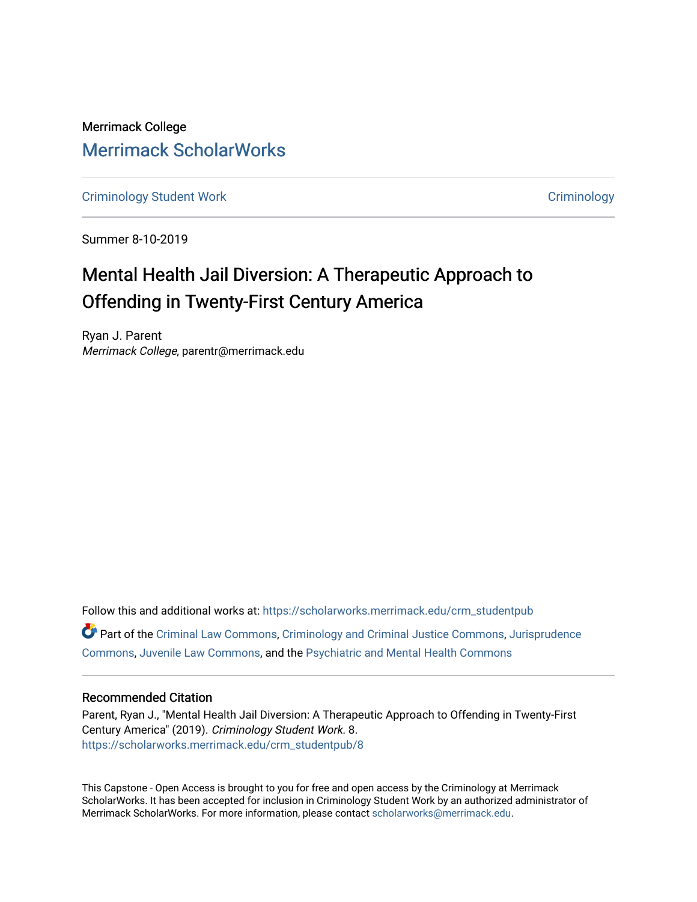Merrimack College [Merrimack ScholarWorks](https://scholarworks.merrimack.edu/) 

[Criminology Student Work](https://scholarworks.merrimack.edu/crm_studentpub) **Criminology** Criminology

Summer 8-10-2019

# Mental Health Jail Diversion: A Therapeutic Approach to Offending in Twenty-First Century America

Ryan J. Parent Merrimack College, parentr@merrimack.edu

Follow this and additional works at: [https://scholarworks.merrimack.edu/crm\\_studentpub](https://scholarworks.merrimack.edu/crm_studentpub?utm_source=scholarworks.merrimack.edu%2Fcrm_studentpub%2F8&utm_medium=PDF&utm_campaign=PDFCoverPages)  Part of the [Criminal Law Commons,](http://network.bepress.com/hgg/discipline/912?utm_source=scholarworks.merrimack.edu%2Fcrm_studentpub%2F8&utm_medium=PDF&utm_campaign=PDFCoverPages) [Criminology and Criminal Justice Commons](http://network.bepress.com/hgg/discipline/367?utm_source=scholarworks.merrimack.edu%2Fcrm_studentpub%2F8&utm_medium=PDF&utm_campaign=PDFCoverPages), [Jurisprudence](http://network.bepress.com/hgg/discipline/610?utm_source=scholarworks.merrimack.edu%2Fcrm_studentpub%2F8&utm_medium=PDF&utm_campaign=PDFCoverPages)  [Commons](http://network.bepress.com/hgg/discipline/610?utm_source=scholarworks.merrimack.edu%2Fcrm_studentpub%2F8&utm_medium=PDF&utm_campaign=PDFCoverPages), [Juvenile Law Commons,](http://network.bepress.com/hgg/discipline/851?utm_source=scholarworks.merrimack.edu%2Fcrm_studentpub%2F8&utm_medium=PDF&utm_campaign=PDFCoverPages) and the [Psychiatric and Mental Health Commons](http://network.bepress.com/hgg/discipline/711?utm_source=scholarworks.merrimack.edu%2Fcrm_studentpub%2F8&utm_medium=PDF&utm_campaign=PDFCoverPages)

## Recommended Citation

Parent, Ryan J., "Mental Health Jail Diversion: A Therapeutic Approach to Offending in Twenty-First Century America" (2019). Criminology Student Work. 8. [https://scholarworks.merrimack.edu/crm\\_studentpub/8](https://scholarworks.merrimack.edu/crm_studentpub/8?utm_source=scholarworks.merrimack.edu%2Fcrm_studentpub%2F8&utm_medium=PDF&utm_campaign=PDFCoverPages) 

This Capstone - Open Access is brought to you for free and open access by the Criminology at Merrimack ScholarWorks. It has been accepted for inclusion in Criminology Student Work by an authorized administrator of Merrimack ScholarWorks. For more information, please contact [scholarworks@merrimack.edu](mailto:scholarworks@merrimack.edu).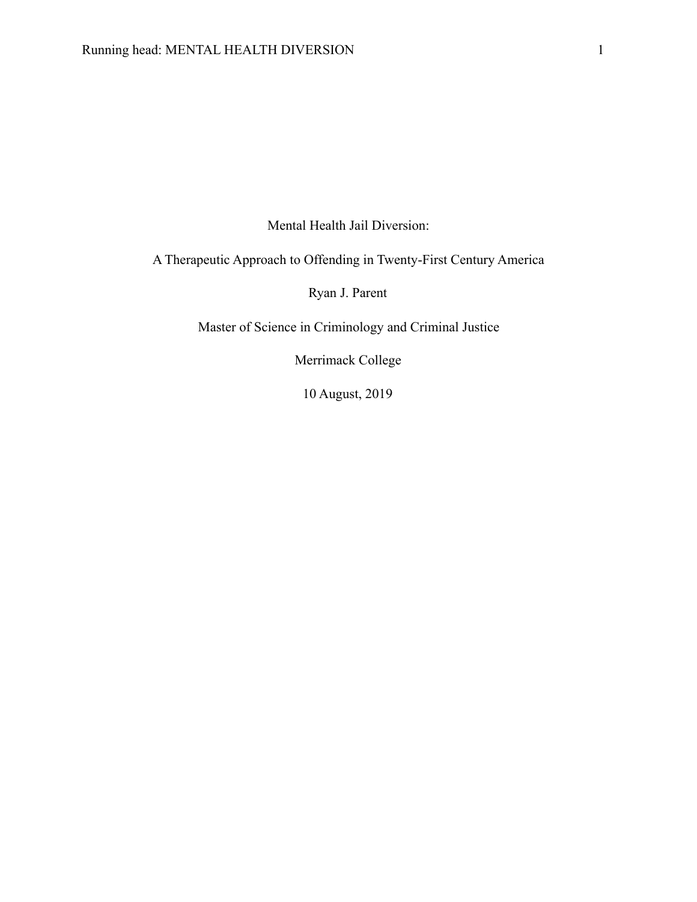Mental Health Jail Diversion:

A Therapeutic Approach to Offending in Twenty-First Century America

Ryan J. Parent

Master of Science in Criminology and Criminal Justice

Merrimack College

10 August, 2019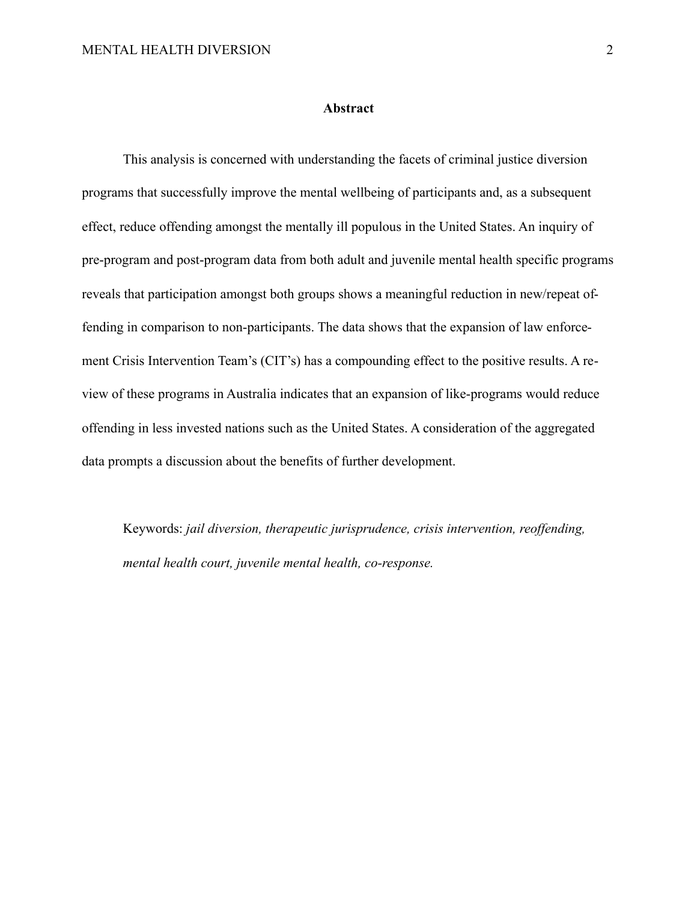#### **Abstract**

 This analysis is concerned with understanding the facets of criminal justice diversion programs that successfully improve the mental wellbeing of participants and, as a subsequent effect, reduce offending amongst the mentally ill populous in the United States. An inquiry of pre-program and post-program data from both adult and juvenile mental health specific programs reveals that participation amongst both groups shows a meaningful reduction in new/repeat offending in comparison to non-participants. The data shows that the expansion of law enforcement Crisis Intervention Team's (CIT's) has a compounding effect to the positive results. A review of these programs in Australia indicates that an expansion of like-programs would reduce offending in less invested nations such as the United States. A consideration of the aggregated data prompts a discussion about the benefits of further development.

Keywords: *jail diversion, therapeutic jurisprudence, crisis intervention, reoffending, mental health court, juvenile mental health, co-response.*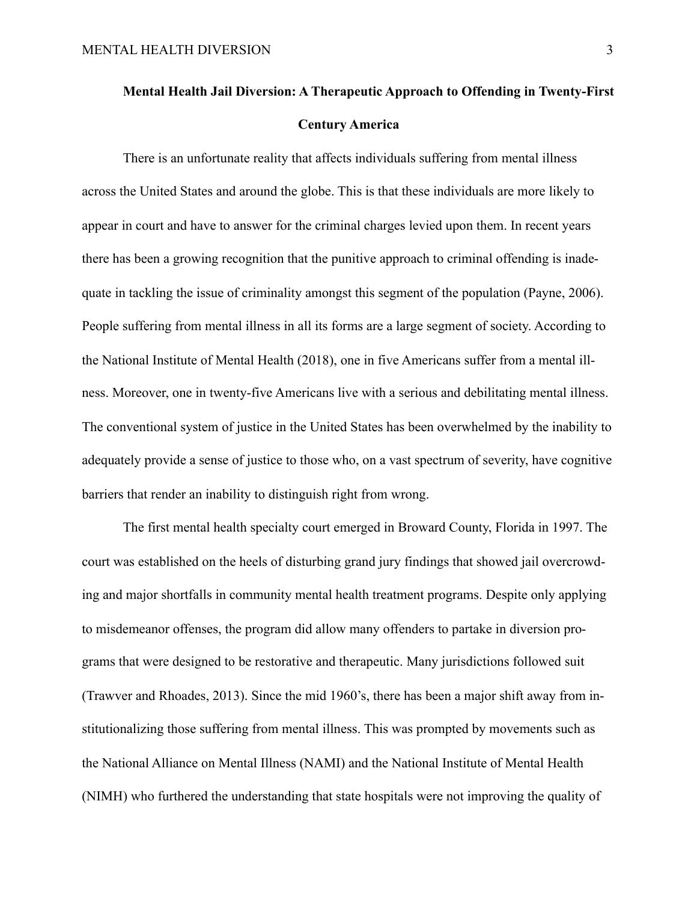# **Mental Health Jail Diversion: A Therapeutic Approach to Offending in Twenty-First Century America**

 There is an unfortunate reality that affects individuals suffering from mental illness across the United States and around the globe. This is that these individuals are more likely to appear in court and have to answer for the criminal charges levied upon them. In recent years there has been a growing recognition that the punitive approach to criminal offending is inadequate in tackling the issue of criminality amongst this segment of the population (Payne, 2006). People suffering from mental illness in all its forms are a large segment of society. According to the National Institute of Mental Health (2018), one in five Americans suffer from a mental illness. Moreover, one in twenty-five Americans live with a serious and debilitating mental illness. The conventional system of justice in the United States has been overwhelmed by the inability to adequately provide a sense of justice to those who, on a vast spectrum of severity, have cognitive barriers that render an inability to distinguish right from wrong.

 The first mental health specialty court emerged in Broward County, Florida in 1997. The court was established on the heels of disturbing grand jury findings that showed jail overcrowding and major shortfalls in community mental health treatment programs. Despite only applying to misdemeanor offenses, the program did allow many offenders to partake in diversion programs that were designed to be restorative and therapeutic. Many jurisdictions followed suit (Trawver and Rhoades, 2013). Since the mid 1960's, there has been a major shift away from institutionalizing those suffering from mental illness. This was prompted by movements such as the National Alliance on Mental Illness (NAMI) and the National Institute of Mental Health (NIMH) who furthered the understanding that state hospitals were not improving the quality of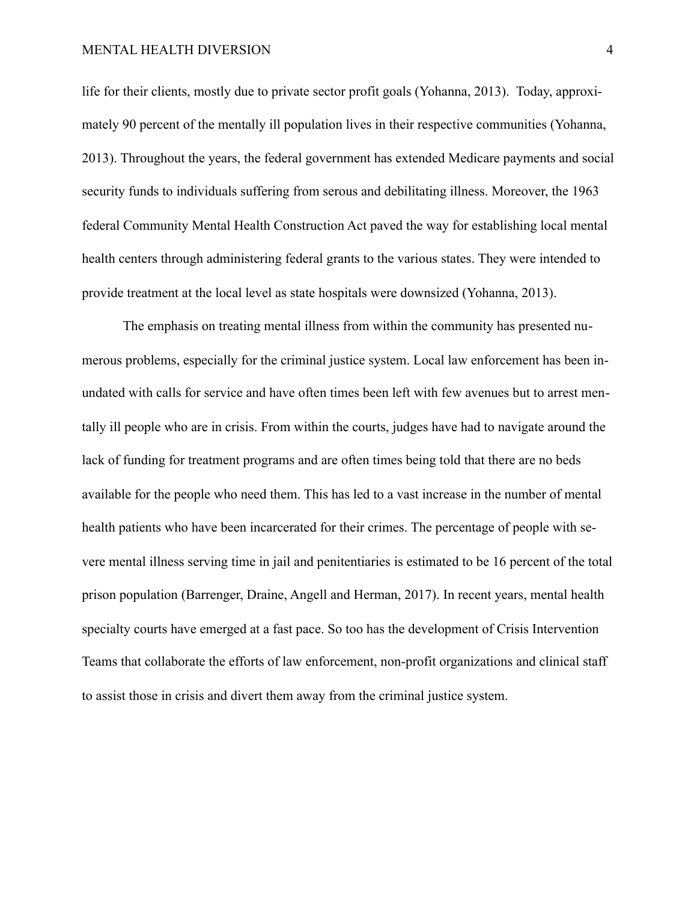life for their clients, mostly due to private sector profit goals (Yohanna, 2013). Today, approximately 90 percent of the mentally ill population lives in their respective communities (Yohanna, 2013). Throughout the years, the federal government has extended Medicare payments and social security funds to individuals suffering from serous and debilitating illness. Moreover, the 1963 federal Community Mental Health Construction Act paved the way for establishing local mental health centers through administering federal grants to the various states. They were intended to provide treatment at the local level as state hospitals were downsized (Yohanna, 2013).

 The emphasis on treating mental illness from within the community has presented numerous problems, especially for the criminal justice system. Local law enforcement has been inundated with calls for service and have often times been left with few avenues but to arrest mentally ill people who are in crisis. From within the courts, judges have had to navigate around the lack of funding for treatment programs and are often times being told that there are no beds available for the people who need them. This has led to a vast increase in the number of mental health patients who have been incarcerated for their crimes. The percentage of people with severe mental illness serving time in jail and penitentiaries is estimated to be 16 percent of the total prison population (Barrenger, Draine, Angell and Herman, 2017). In recent years, mental health specialty courts have emerged at a fast pace. So too has the development of Crisis Intervention Teams that collaborate the efforts of law enforcement, non-profit organizations and clinical staff to assist those in crisis and divert them away from the criminal justice system.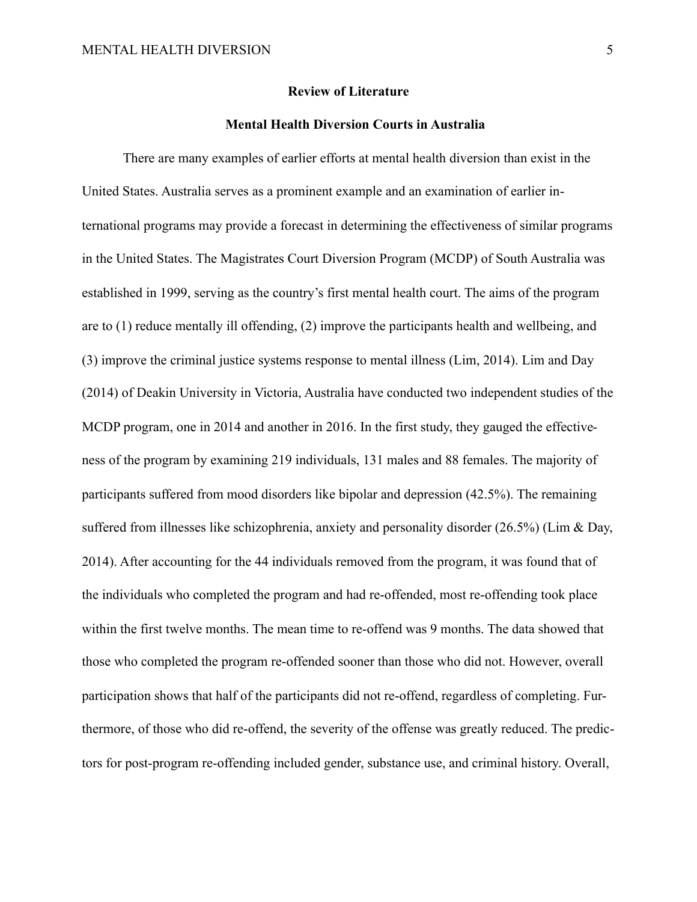#### **Review of Literature**

## **Mental Health Diversion Courts in Australia**

There are many examples of earlier efforts at mental health diversion than exist in the United States. Australia serves as a prominent example and an examination of earlier international programs may provide a forecast in determining the effectiveness of similar programs in the United States. The Magistrates Court Diversion Program (MCDP) of South Australia was established in 1999, serving as the country's first mental health court. The aims of the program are to (1) reduce mentally ill offending, (2) improve the participants health and wellbeing, and (3) improve the criminal justice systems response to mental illness (Lim, 2014). Lim and Day (2014) of Deakin University in Victoria, Australia have conducted two independent studies of the MCDP program, one in 2014 and another in 2016. In the first study, they gauged the effectiveness of the program by examining 219 individuals, 131 males and 88 females. The majority of participants suffered from mood disorders like bipolar and depression (42.5%). The remaining suffered from illnesses like schizophrenia, anxiety and personality disorder (26.5%) (Lim & Day, 2014). After accounting for the 44 individuals removed from the program, it was found that of the individuals who completed the program and had re-offended, most re-offending took place within the first twelve months. The mean time to re-offend was 9 months. The data showed that those who completed the program re-offended sooner than those who did not. However, overall participation shows that half of the participants did not re-offend, regardless of completing. Furthermore, of those who did re-offend, the severity of the offense was greatly reduced. The predictors for post-program re-offending included gender, substance use, and criminal history. Overall,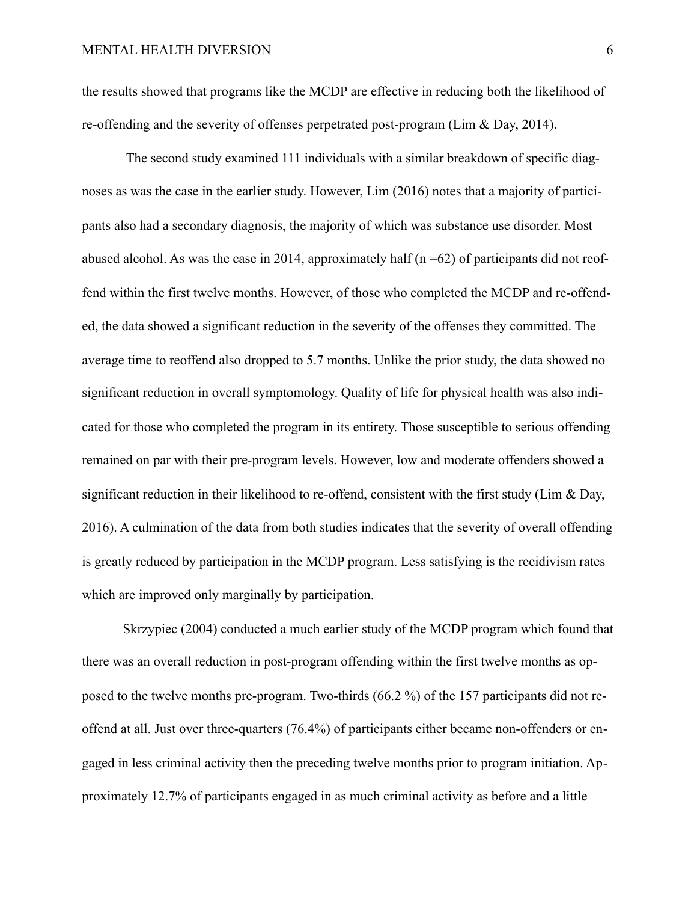the results showed that programs like the MCDP are effective in reducing both the likelihood of re-offending and the severity of offenses perpetrated post-program (Lim & Day, 2014).

 The second study examined 111 individuals with a similar breakdown of specific diagnoses as was the case in the earlier study. However, Lim (2016) notes that a majority of participants also had a secondary diagnosis, the majority of which was substance use disorder. Most abused alcohol. As was the case in 2014, approximately half  $(n=62)$  of participants did not reoffend within the first twelve months. However, of those who completed the MCDP and re-offended, the data showed a significant reduction in the severity of the offenses they committed. The average time to reoffend also dropped to 5.7 months. Unlike the prior study, the data showed no significant reduction in overall symptomology. Quality of life for physical health was also indicated for those who completed the program in its entirety. Those susceptible to serious offending remained on par with their pre-program levels. However, low and moderate offenders showed a significant reduction in their likelihood to re-offend, consistent with the first study (Lim & Day, 2016). A culmination of the data from both studies indicates that the severity of overall offending is greatly reduced by participation in the MCDP program. Less satisfying is the recidivism rates which are improved only marginally by participation.

 Skrzypiec (2004) conducted a much earlier study of the MCDP program which found that there was an overall reduction in post-program offending within the first twelve months as opposed to the twelve months pre-program. Two-thirds (66.2 %) of the 157 participants did not reoffend at all. Just over three-quarters (76.4%) of participants either became non-offenders or engaged in less criminal activity then the preceding twelve months prior to program initiation. Approximately 12.7% of participants engaged in as much criminal activity as before and a little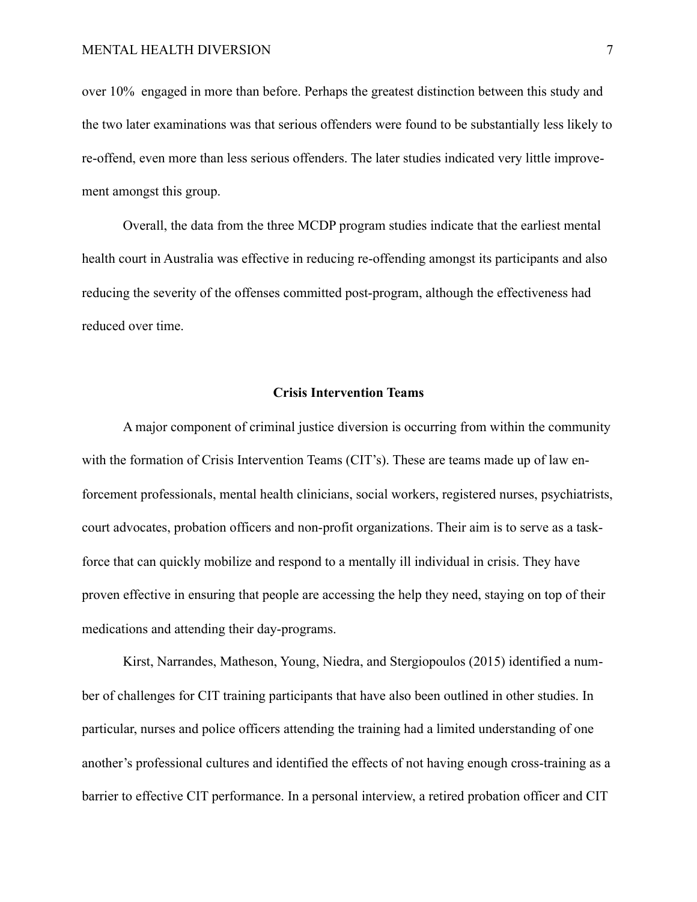over 10% engaged in more than before. Perhaps the greatest distinction between this study and the two later examinations was that serious offenders were found to be substantially less likely to re-offend, even more than less serious offenders. The later studies indicated very little improvement amongst this group.

 Overall, the data from the three MCDP program studies indicate that the earliest mental health court in Australia was effective in reducing re-offending amongst its participants and also reducing the severity of the offenses committed post-program, although the effectiveness had reduced over time.

# **Crisis Intervention Teams**

 A major component of criminal justice diversion is occurring from within the community with the formation of Crisis Intervention Teams (CIT's). These are teams made up of law enforcement professionals, mental health clinicians, social workers, registered nurses, psychiatrists, court advocates, probation officers and non-profit organizations. Their aim is to serve as a taskforce that can quickly mobilize and respond to a mentally ill individual in crisis. They have proven effective in ensuring that people are accessing the help they need, staying on top of their medications and attending their day-programs.

 Kirst, Narrandes, Matheson, Young, Niedra, and Stergiopoulos (2015) identified a number of challenges for CIT training participants that have also been outlined in other studies. In particular, nurses and police officers attending the training had a limited understanding of one another's professional cultures and identified the effects of not having enough cross-training as a barrier to effective CIT performance. In a personal interview, a retired probation officer and CIT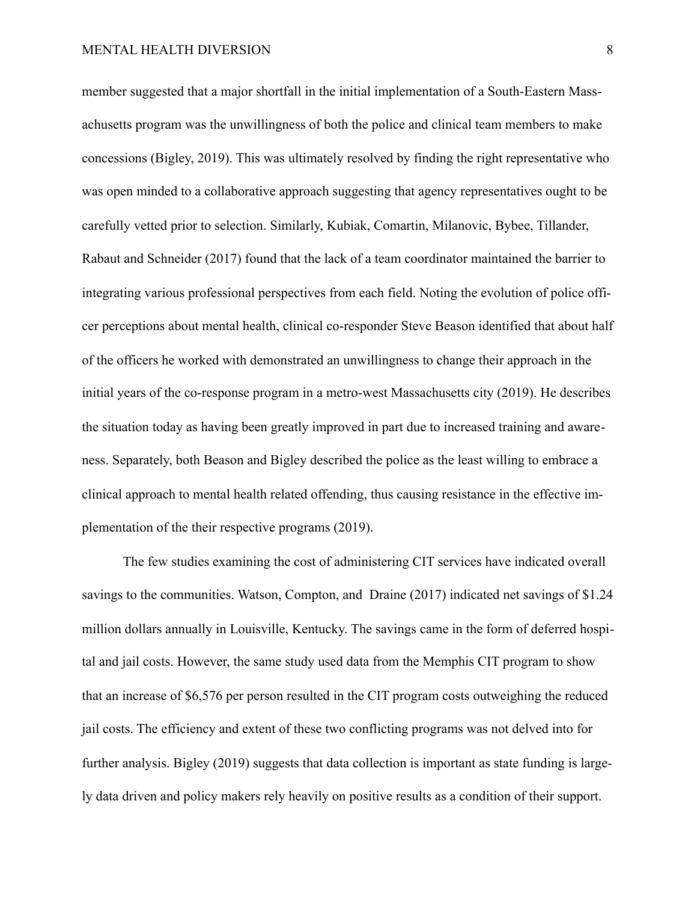member suggested that a major shortfall in the initial implementation of a South-Eastern Massachusetts program was the unwillingness of both the police and clinical team members to make concessions (Bigley, 2019). This was ultimately resolved by finding the right representative who was open minded to a collaborative approach suggesting that agency representatives ought to be carefully vetted prior to selection. Similarly, Kubiak, Comartin, Milanovic, Bybee, Tillander, Rabaut and Schneider (2017) found that the lack of a team coordinator maintained the barrier to integrating various professional perspectives from each field. Noting the evolution of police officer perceptions about mental health, clinical co-responder Steve Beason identified that about half of the officers he worked with demonstrated an unwillingness to change their approach in the initial years of the co-response program in a metro-west Massachusetts city (2019). He describes the situation today as having been greatly improved in part due to increased training and awareness. Separately, both Beason and Bigley described the police as the least willing to embrace a clinical approach to mental health related offending, thus causing resistance in the effective implementation of the their respective programs (2019).

 The few studies examining the cost of administering CIT services have indicated overall savings to the communities. Watson, Compton, and Draine (2017) indicated net savings of \$1.24 million dollars annually in Louisville, Kentucky. The savings came in the form of deferred hospital and jail costs. However, the same study used data from the Memphis CIT program to show that an increase of \$6,576 per person resulted in the CIT program costs outweighing the reduced jail costs. The efficiency and extent of these two conflicting programs was not delved into for further analysis. Bigley (2019) suggests that data collection is important as state funding is largely data driven and policy makers rely heavily on positive results as a condition of their support.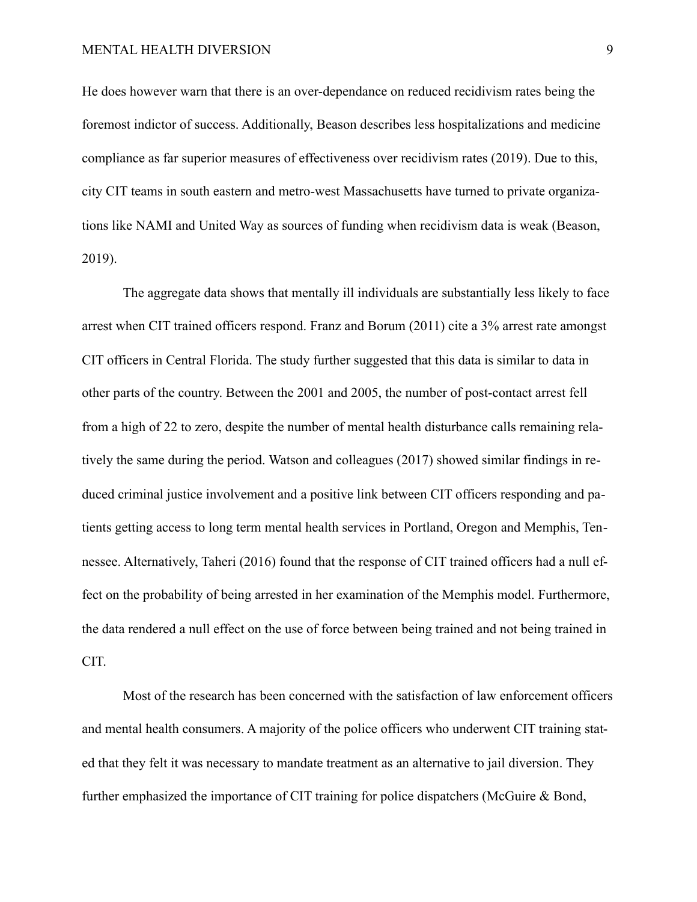He does however warn that there is an over-dependance on reduced recidivism rates being the foremost indictor of success. Additionally, Beason describes less hospitalizations and medicine compliance as far superior measures of effectiveness over recidivism rates (2019). Due to this, city CIT teams in south eastern and metro-west Massachusetts have turned to private organizations like NAMI and United Way as sources of funding when recidivism data is weak (Beason, 2019).

 The aggregate data shows that mentally ill individuals are substantially less likely to face arrest when CIT trained officers respond. Franz and Borum (2011) cite a 3% arrest rate amongst CIT officers in Central Florida. The study further suggested that this data is similar to data in other parts of the country. Between the 2001 and 2005, the number of post-contact arrest fell from a high of 22 to zero, despite the number of mental health disturbance calls remaining relatively the same during the period. Watson and colleagues (2017) showed similar findings in reduced criminal justice involvement and a positive link between CIT officers responding and patients getting access to long term mental health services in Portland, Oregon and Memphis, Tennessee. Alternatively, Taheri (2016) found that the response of CIT trained officers had a null effect on the probability of being arrested in her examination of the Memphis model. Furthermore, the data rendered a null effect on the use of force between being trained and not being trained in CIT.

 Most of the research has been concerned with the satisfaction of law enforcement officers and mental health consumers. A majority of the police officers who underwent CIT training stated that they felt it was necessary to mandate treatment as an alternative to jail diversion. They further emphasized the importance of CIT training for police dispatchers (McGuire & Bond,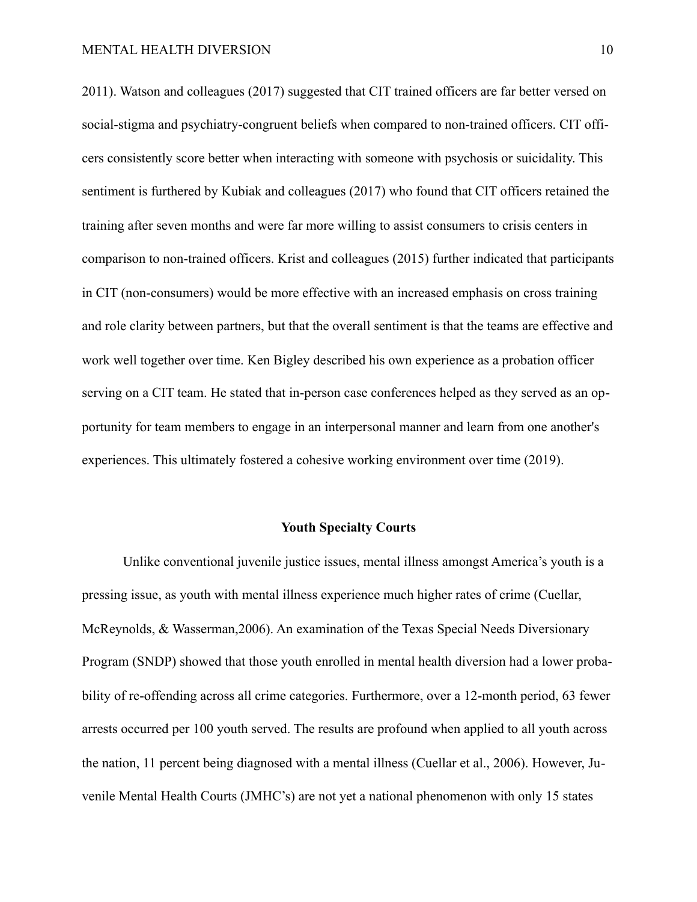2011). Watson and colleagues (2017) suggested that CIT trained officers are far better versed on social-stigma and psychiatry-congruent beliefs when compared to non-trained officers. CIT officers consistently score better when interacting with someone with psychosis or suicidality. This sentiment is furthered by Kubiak and colleagues (2017) who found that CIT officers retained the training after seven months and were far more willing to assist consumers to crisis centers in comparison to non-trained officers. Krist and colleagues (2015) further indicated that participants in CIT (non-consumers) would be more effective with an increased emphasis on cross training and role clarity between partners, but that the overall sentiment is that the teams are effective and work well together over time. Ken Bigley described his own experience as a probation officer serving on a CIT team. He stated that in-person case conferences helped as they served as an opportunity for team members to engage in an interpersonal manner and learn from one another's experiences. This ultimately fostered a cohesive working environment over time (2019).

## **Youth Specialty Courts**

Unlike conventional juvenile justice issues, mental illness amongst America's youth is a pressing issue, as youth with mental illness experience much higher rates of crime (Cuellar, McReynolds, & Wasserman,2006). An examination of the Texas Special Needs Diversionary Program (SNDP) showed that those youth enrolled in mental health diversion had a lower probability of re-offending across all crime categories. Furthermore, over a 12-month period, 63 fewer arrests occurred per 100 youth served. The results are profound when applied to all youth across the nation, 11 percent being diagnosed with a mental illness (Cuellar et al., 2006). However, Juvenile Mental Health Courts (JMHC's) are not yet a national phenomenon with only 15 states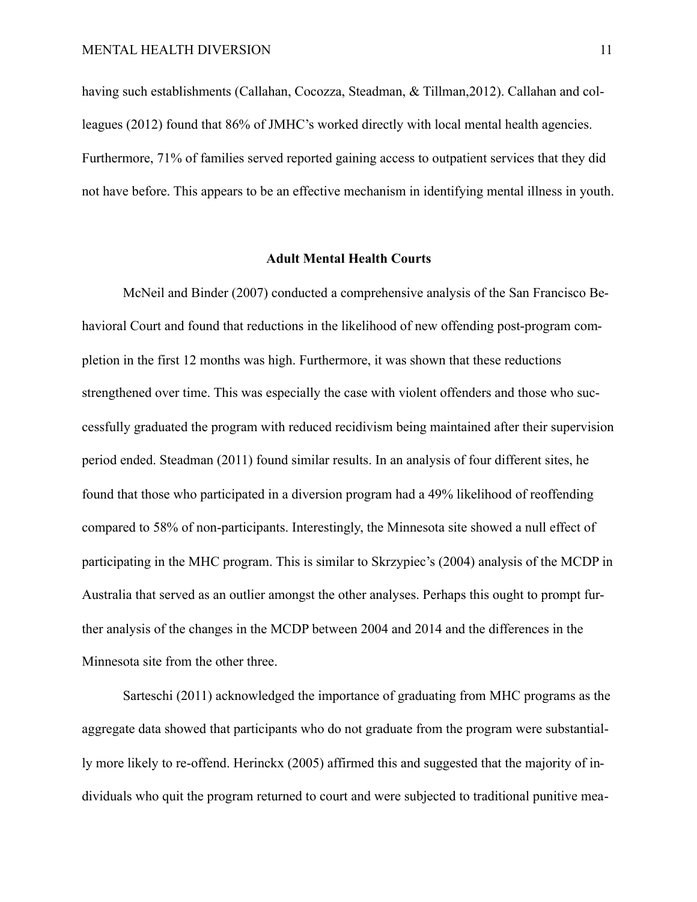having such establishments (Callahan, Cocozza, Steadman, & Tillman,2012). Callahan and colleagues (2012) found that 86% of JMHC's worked directly with local mental health agencies. Furthermore, 71% of families served reported gaining access to outpatient services that they did not have before. This appears to be an effective mechanism in identifying mental illness in youth.

#### **Adult Mental Health Courts**

McNeil and Binder (2007) conducted a comprehensive analysis of the San Francisco Behavioral Court and found that reductions in the likelihood of new offending post-program completion in the first 12 months was high. Furthermore, it was shown that these reductions strengthened over time. This was especially the case with violent offenders and those who successfully graduated the program with reduced recidivism being maintained after their supervision period ended. Steadman (2011) found similar results. In an analysis of four different sites, he found that those who participated in a diversion program had a 49% likelihood of reoffending compared to 58% of non-participants. Interestingly, the Minnesota site showed a null effect of participating in the MHC program. This is similar to Skrzypiec's (2004) analysis of the MCDP in Australia that served as an outlier amongst the other analyses. Perhaps this ought to prompt further analysis of the changes in the MCDP between 2004 and 2014 and the differences in the Minnesota site from the other three.

 Sarteschi (2011) acknowledged the importance of graduating from MHC programs as the aggregate data showed that participants who do not graduate from the program were substantially more likely to re-offend. Herinckx (2005) affirmed this and suggested that the majority of individuals who quit the program returned to court and were subjected to traditional punitive mea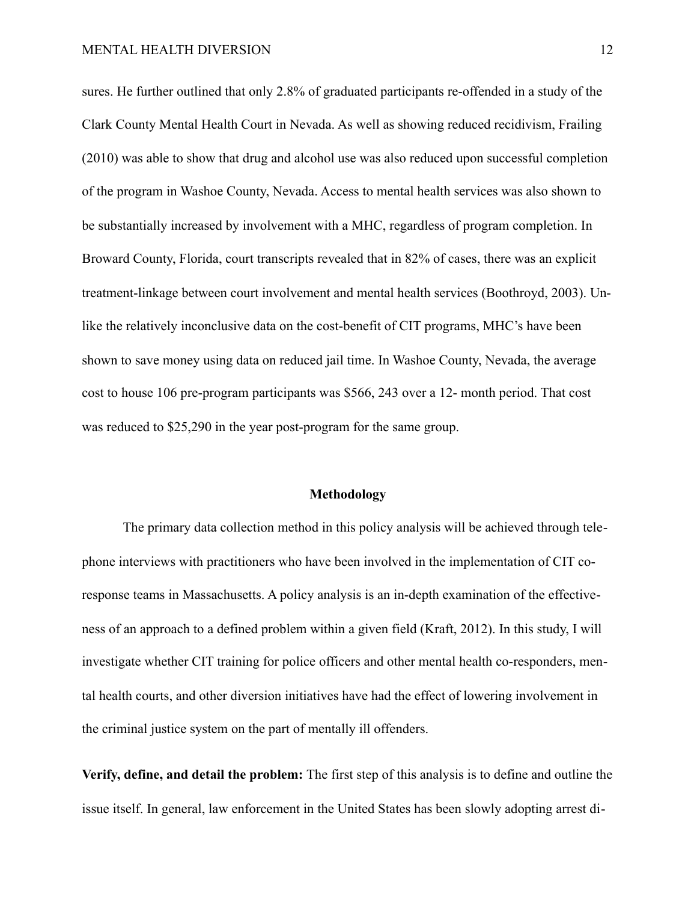sures. He further outlined that only 2.8% of graduated participants re-offended in a study of the Clark County Mental Health Court in Nevada. As well as showing reduced recidivism, Frailing (2010) was able to show that drug and alcohol use was also reduced upon successful completion of the program in Washoe County, Nevada. Access to mental health services was also shown to be substantially increased by involvement with a MHC, regardless of program completion. In Broward County, Florida, court transcripts revealed that in 82% of cases, there was an explicit treatment-linkage between court involvement and mental health services (Boothroyd, 2003). Unlike the relatively inconclusive data on the cost-benefit of CIT programs, MHC's have been shown to save money using data on reduced jail time. In Washoe County, Nevada, the average cost to house 106 pre-program participants was \$566, 243 over a 12- month period. That cost was reduced to \$25,290 in the year post-program for the same group.

#### **Methodology**

The primary data collection method in this policy analysis will be achieved through telephone interviews with practitioners who have been involved in the implementation of CIT coresponse teams in Massachusetts. A policy analysis is an in-depth examination of the effectiveness of an approach to a defined problem within a given field (Kraft, 2012). In this study, I will investigate whether CIT training for police officers and other mental health co-responders, mental health courts, and other diversion initiatives have had the effect of lowering involvement in the criminal justice system on the part of mentally ill offenders.

**Verify, define, and detail the problem:** The first step of this analysis is to define and outline the issue itself. In general, law enforcement in the United States has been slowly adopting arrest di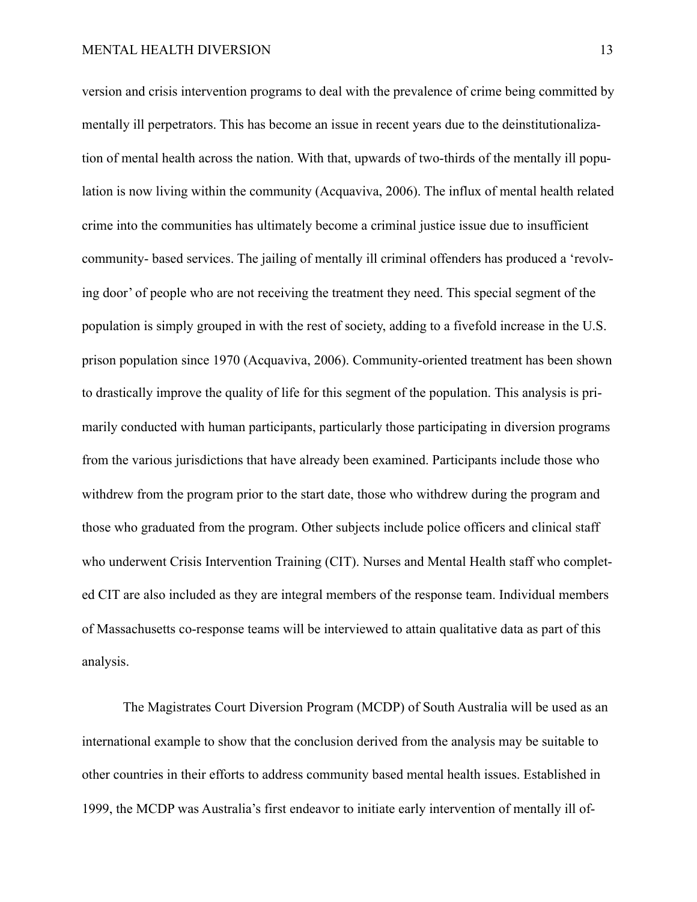version and crisis intervention programs to deal with the prevalence of crime being committed by mentally ill perpetrators. This has become an issue in recent years due to the deinstitutionalization of mental health across the nation. With that, upwards of two-thirds of the mentally ill population is now living within the community (Acquaviva, 2006). The influx of mental health related crime into the communities has ultimately become a criminal justice issue due to insufficient community- based services. The jailing of mentally ill criminal offenders has produced a 'revolving door' of people who are not receiving the treatment they need. This special segment of the population is simply grouped in with the rest of society, adding to a fivefold increase in the U.S. prison population since 1970 (Acquaviva, 2006). Community-oriented treatment has been shown to drastically improve the quality of life for this segment of the population. This analysis is primarily conducted with human participants, particularly those participating in diversion programs from the various jurisdictions that have already been examined. Participants include those who withdrew from the program prior to the start date, those who withdrew during the program and those who graduated from the program. Other subjects include police officers and clinical staff who underwent Crisis Intervention Training (CIT). Nurses and Mental Health staff who completed CIT are also included as they are integral members of the response team. Individual members of Massachusetts co-response teams will be interviewed to attain qualitative data as part of this analysis.

 The Magistrates Court Diversion Program (MCDP) of South Australia will be used as an international example to show that the conclusion derived from the analysis may be suitable to other countries in their efforts to address community based mental health issues. Established in 1999, the MCDP was Australia's first endeavor to initiate early intervention of mentally ill of-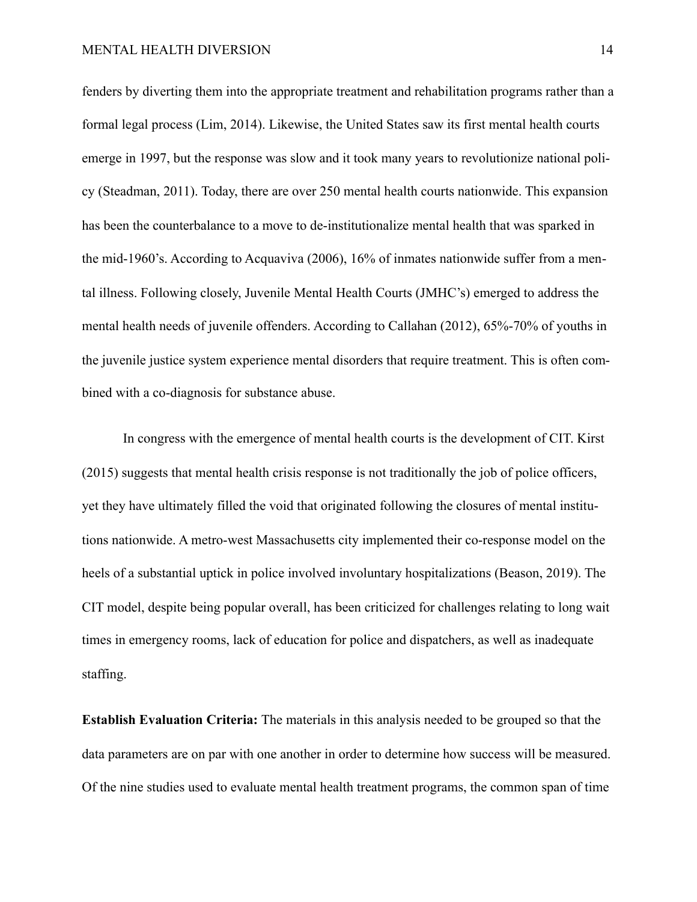fenders by diverting them into the appropriate treatment and rehabilitation programs rather than a formal legal process (Lim, 2014). Likewise, the United States saw its first mental health courts emerge in 1997, but the response was slow and it took many years to revolutionize national policy (Steadman, 2011). Today, there are over 250 mental health courts nationwide. This expansion has been the counterbalance to a move to de-institutionalize mental health that was sparked in the mid-1960's. According to Acquaviva (2006), 16% of inmates nationwide suffer from a mental illness. Following closely, Juvenile Mental Health Courts (JMHC's) emerged to address the mental health needs of juvenile offenders. According to Callahan (2012), 65%-70% of youths in the juvenile justice system experience mental disorders that require treatment. This is often combined with a co-diagnosis for substance abuse.

 In congress with the emergence of mental health courts is the development of CIT. Kirst (2015) suggests that mental health crisis response is not traditionally the job of police officers, yet they have ultimately filled the void that originated following the closures of mental institutions nationwide. A metro-west Massachusetts city implemented their co-response model on the heels of a substantial uptick in police involved involuntary hospitalizations (Beason, 2019). The CIT model, despite being popular overall, has been criticized for challenges relating to long wait times in emergency rooms, lack of education for police and dispatchers, as well as inadequate staffing.

**Establish Evaluation Criteria:** The materials in this analysis needed to be grouped so that the data parameters are on par with one another in order to determine how success will be measured. Of the nine studies used to evaluate mental health treatment programs, the common span of time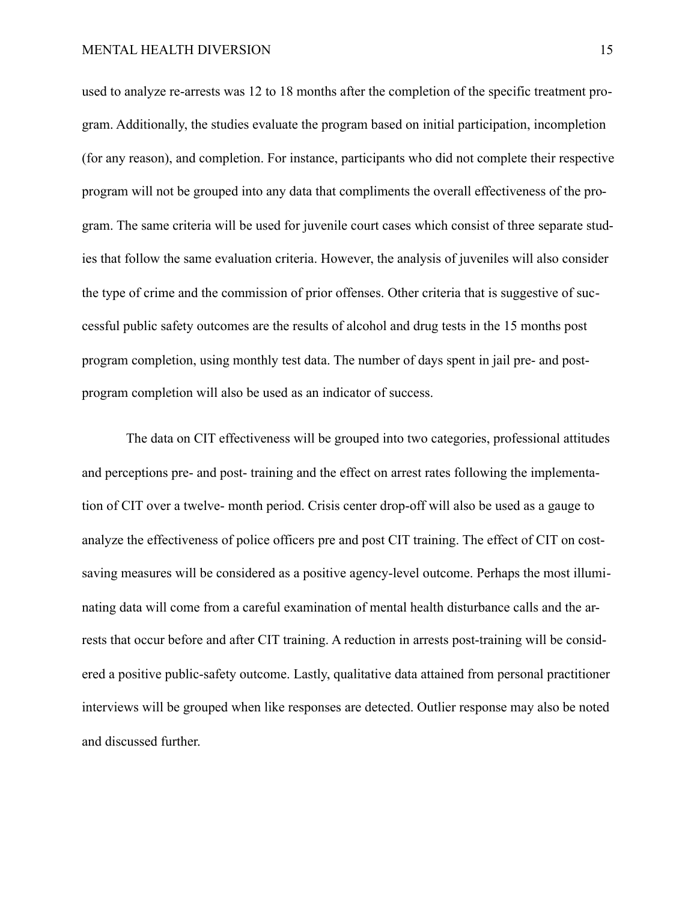used to analyze re-arrests was 12 to 18 months after the completion of the specific treatment program. Additionally, the studies evaluate the program based on initial participation, incompletion (for any reason), and completion. For instance, participants who did not complete their respective program will not be grouped into any data that compliments the overall effectiveness of the program. The same criteria will be used for juvenile court cases which consist of three separate studies that follow the same evaluation criteria. However, the analysis of juveniles will also consider the type of crime and the commission of prior offenses. Other criteria that is suggestive of successful public safety outcomes are the results of alcohol and drug tests in the 15 months post program completion, using monthly test data. The number of days spent in jail pre- and postprogram completion will also be used as an indicator of success.

 The data on CIT effectiveness will be grouped into two categories, professional attitudes and perceptions pre- and post- training and the effect on arrest rates following the implementation of CIT over a twelve- month period. Crisis center drop-off will also be used as a gauge to analyze the effectiveness of police officers pre and post CIT training. The effect of CIT on costsaving measures will be considered as a positive agency-level outcome. Perhaps the most illuminating data will come from a careful examination of mental health disturbance calls and the arrests that occur before and after CIT training. A reduction in arrests post-training will be considered a positive public-safety outcome. Lastly, qualitative data attained from personal practitioner interviews will be grouped when like responses are detected. Outlier response may also be noted and discussed further.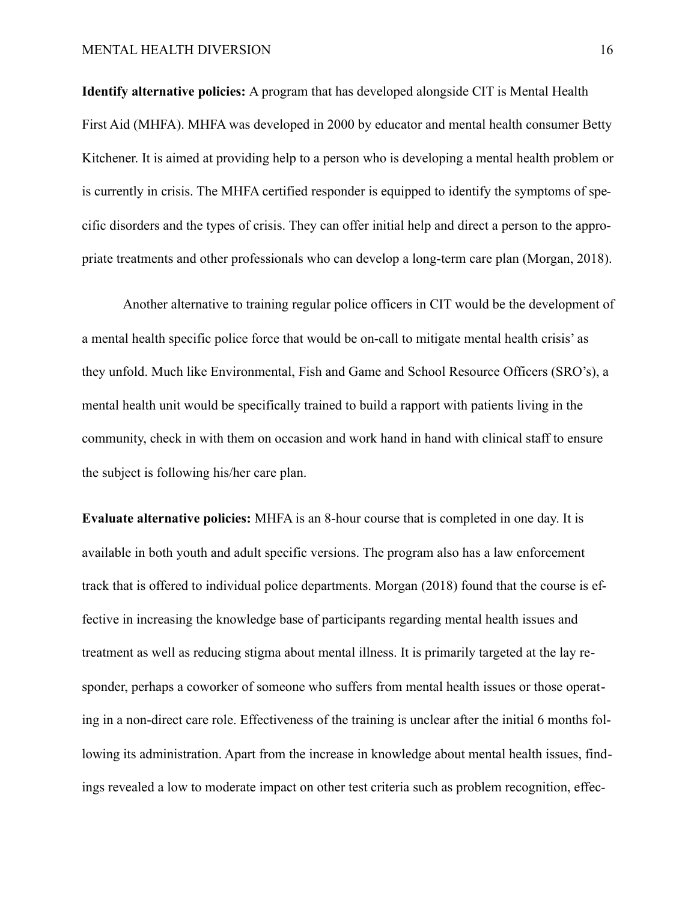**Identify alternative policies:** A program that has developed alongside CIT is Mental Health First Aid (MHFA). MHFA was developed in 2000 by educator and mental health consumer Betty Kitchener. It is aimed at providing help to a person who is developing a mental health problem or is currently in crisis. The MHFA certified responder is equipped to identify the symptoms of specific disorders and the types of crisis. They can offer initial help and direct a person to the appropriate treatments and other professionals who can develop a long-term care plan (Morgan, 2018).

 Another alternative to training regular police officers in CIT would be the development of a mental health specific police force that would be on-call to mitigate mental health crisis' as they unfold. Much like Environmental, Fish and Game and School Resource Officers (SRO's), a mental health unit would be specifically trained to build a rapport with patients living in the community, check in with them on occasion and work hand in hand with clinical staff to ensure the subject is following his/her care plan.

**Evaluate alternative policies:** MHFA is an 8-hour course that is completed in one day. It is available in both youth and adult specific versions. The program also has a law enforcement track that is offered to individual police departments. Morgan (2018) found that the course is effective in increasing the knowledge base of participants regarding mental health issues and treatment as well as reducing stigma about mental illness. It is primarily targeted at the lay responder, perhaps a coworker of someone who suffers from mental health issues or those operating in a non-direct care role. Effectiveness of the training is unclear after the initial 6 months following its administration. Apart from the increase in knowledge about mental health issues, findings revealed a low to moderate impact on other test criteria such as problem recognition, effec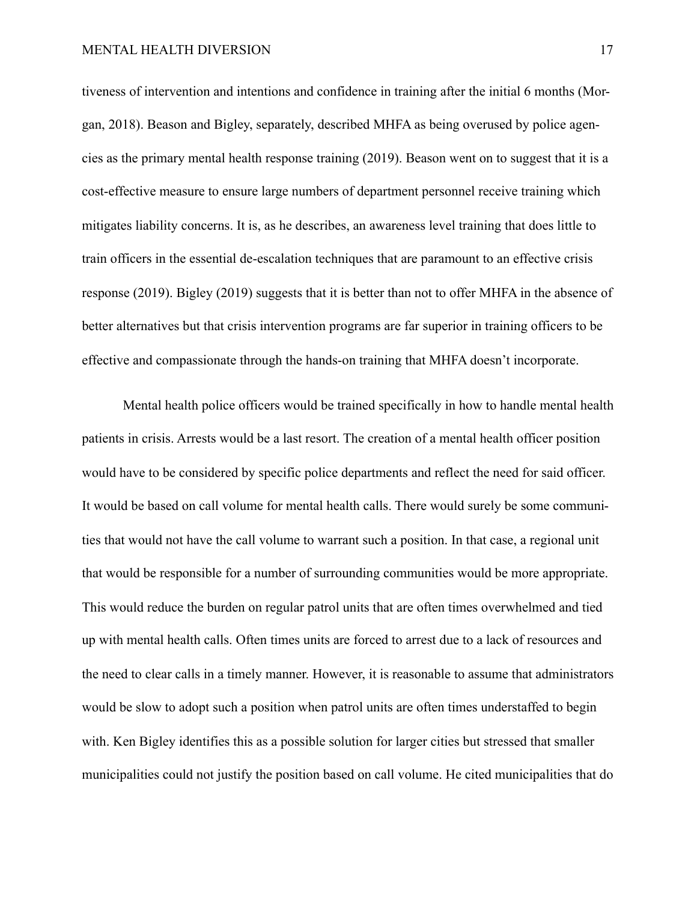tiveness of intervention and intentions and confidence in training after the initial 6 months (Morgan, 2018). Beason and Bigley, separately, described MHFA as being overused by police agencies as the primary mental health response training (2019). Beason went on to suggest that it is a cost-effective measure to ensure large numbers of department personnel receive training which mitigates liability concerns. It is, as he describes, an awareness level training that does little to train officers in the essential de-escalation techniques that are paramount to an effective crisis response (2019). Bigley (2019) suggests that it is better than not to offer MHFA in the absence of better alternatives but that crisis intervention programs are far superior in training officers to be effective and compassionate through the hands-on training that MHFA doesn't incorporate.

 Mental health police officers would be trained specifically in how to handle mental health patients in crisis. Arrests would be a last resort. The creation of a mental health officer position would have to be considered by specific police departments and reflect the need for said officer. It would be based on call volume for mental health calls. There would surely be some communities that would not have the call volume to warrant such a position. In that case, a regional unit that would be responsible for a number of surrounding communities would be more appropriate. This would reduce the burden on regular patrol units that are often times overwhelmed and tied up with mental health calls. Often times units are forced to arrest due to a lack of resources and the need to clear calls in a timely manner. However, it is reasonable to assume that administrators would be slow to adopt such a position when patrol units are often times understaffed to begin with. Ken Bigley identifies this as a possible solution for larger cities but stressed that smaller municipalities could not justify the position based on call volume. He cited municipalities that do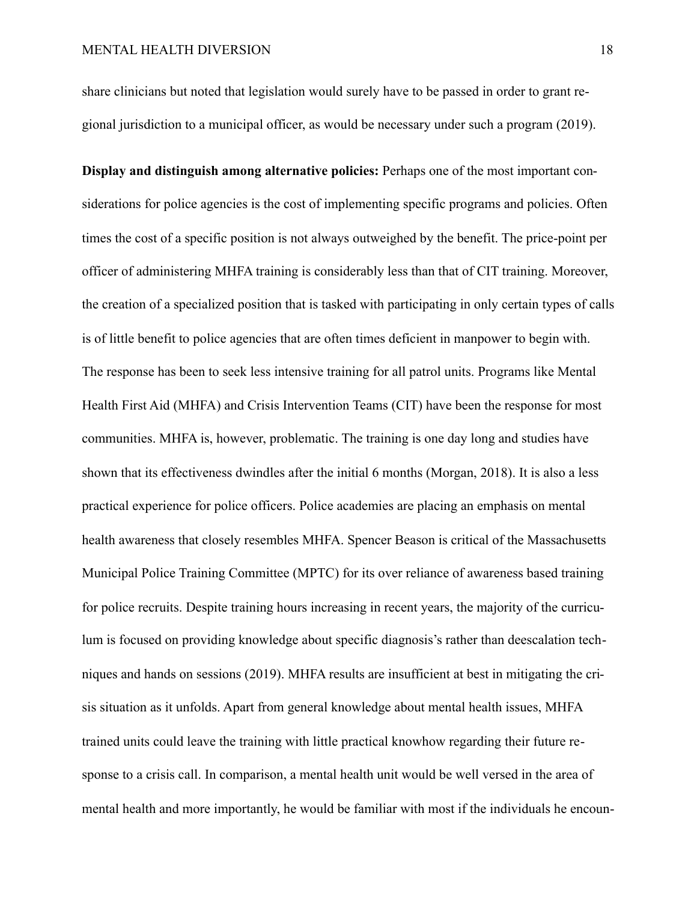share clinicians but noted that legislation would surely have to be passed in order to grant regional jurisdiction to a municipal officer, as would be necessary under such a program (2019).

**Display and distinguish among alternative policies:** Perhaps one of the most important considerations for police agencies is the cost of implementing specific programs and policies. Often times the cost of a specific position is not always outweighed by the benefit. The price-point per officer of administering MHFA training is considerably less than that of CIT training. Moreover, the creation of a specialized position that is tasked with participating in only certain types of calls is of little benefit to police agencies that are often times deficient in manpower to begin with. The response has been to seek less intensive training for all patrol units. Programs like Mental Health First Aid (MHFA) and Crisis Intervention Teams (CIT) have been the response for most communities. MHFA is, however, problematic. The training is one day long and studies have shown that its effectiveness dwindles after the initial 6 months (Morgan, 2018). It is also a less practical experience for police officers. Police academies are placing an emphasis on mental health awareness that closely resembles MHFA. Spencer Beason is critical of the Massachusetts Municipal Police Training Committee (MPTC) for its over reliance of awareness based training for police recruits. Despite training hours increasing in recent years, the majority of the curriculum is focused on providing knowledge about specific diagnosis's rather than deescalation techniques and hands on sessions (2019). MHFA results are insufficient at best in mitigating the crisis situation as it unfolds. Apart from general knowledge about mental health issues, MHFA trained units could leave the training with little practical knowhow regarding their future response to a crisis call. In comparison, a mental health unit would be well versed in the area of mental health and more importantly, he would be familiar with most if the individuals he encoun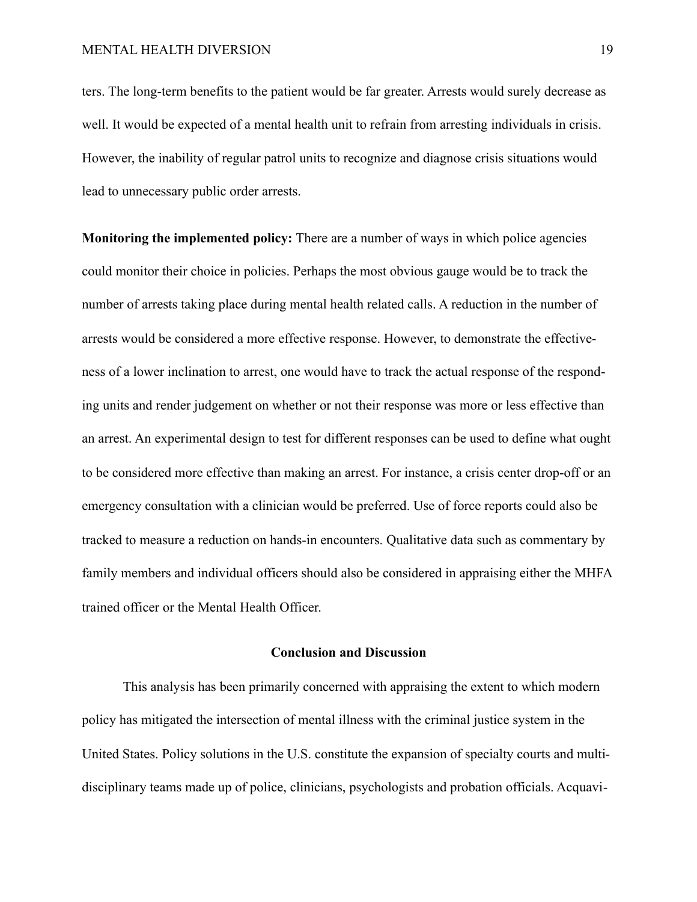ters. The long-term benefits to the patient would be far greater. Arrests would surely decrease as well. It would be expected of a mental health unit to refrain from arresting individuals in crisis. However, the inability of regular patrol units to recognize and diagnose crisis situations would lead to unnecessary public order arrests.

**Monitoring the implemented policy:** There are a number of ways in which police agencies could monitor their choice in policies. Perhaps the most obvious gauge would be to track the number of arrests taking place during mental health related calls. A reduction in the number of arrests would be considered a more effective response. However, to demonstrate the effectiveness of a lower inclination to arrest, one would have to track the actual response of the responding units and render judgement on whether or not their response was more or less effective than an arrest. An experimental design to test for different responses can be used to define what ought to be considered more effective than making an arrest. For instance, a crisis center drop-off or an emergency consultation with a clinician would be preferred. Use of force reports could also be tracked to measure a reduction on hands-in encounters. Qualitative data such as commentary by family members and individual officers should also be considered in appraising either the MHFA trained officer or the Mental Health Officer.

## **Conclusion and Discussion**

This analysis has been primarily concerned with appraising the extent to which modern policy has mitigated the intersection of mental illness with the criminal justice system in the United States. Policy solutions in the U.S. constitute the expansion of specialty courts and multidisciplinary teams made up of police, clinicians, psychologists and probation officials. Acquavi-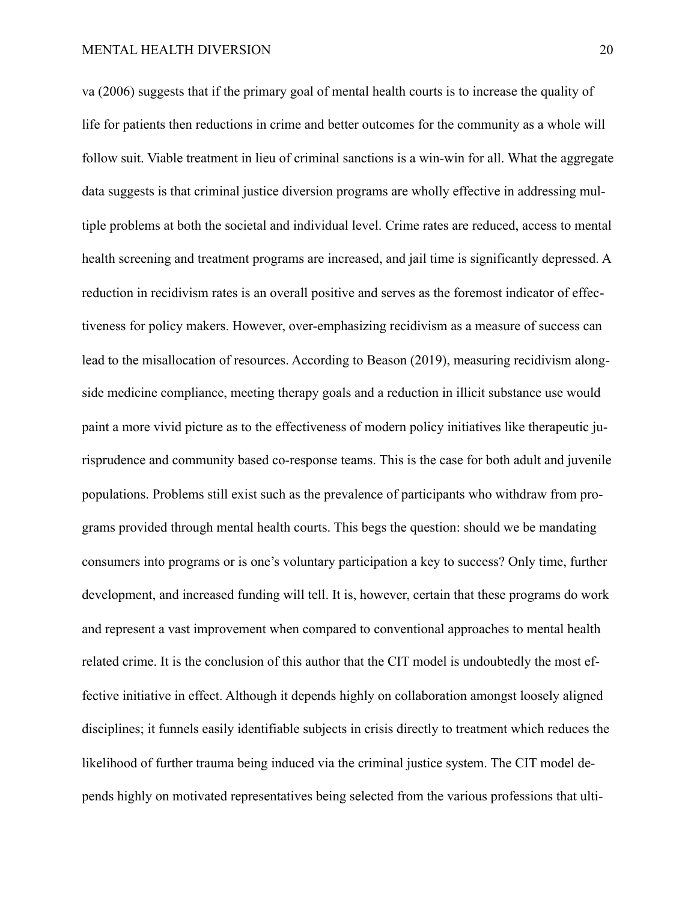va (2006) suggests that if the primary goal of mental health courts is to increase the quality of life for patients then reductions in crime and better outcomes for the community as a whole will follow suit. Viable treatment in lieu of criminal sanctions is a win-win for all. What the aggregate data suggests is that criminal justice diversion programs are wholly effective in addressing multiple problems at both the societal and individual level. Crime rates are reduced, access to mental health screening and treatment programs are increased, and jail time is significantly depressed. A reduction in recidivism rates is an overall positive and serves as the foremost indicator of effectiveness for policy makers. However, over-emphasizing recidivism as a measure of success can lead to the misallocation of resources. According to Beason (2019), measuring recidivism alongside medicine compliance, meeting therapy goals and a reduction in illicit substance use would paint a more vivid picture as to the effectiveness of modern policy initiatives like therapeutic jurisprudence and community based co-response teams. This is the case for both adult and juvenile populations. Problems still exist such as the prevalence of participants who withdraw from programs provided through mental health courts. This begs the question: should we be mandating consumers into programs or is one's voluntary participation a key to success? Only time, further development, and increased funding will tell. It is, however, certain that these programs do work and represent a vast improvement when compared to conventional approaches to mental health related crime. It is the conclusion of this author that the CIT model is undoubtedly the most effective initiative in effect. Although it depends highly on collaboration amongst loosely aligned disciplines; it funnels easily identifiable subjects in crisis directly to treatment which reduces the likelihood of further trauma being induced via the criminal justice system. The CIT model depends highly on motivated representatives being selected from the various professions that ulti-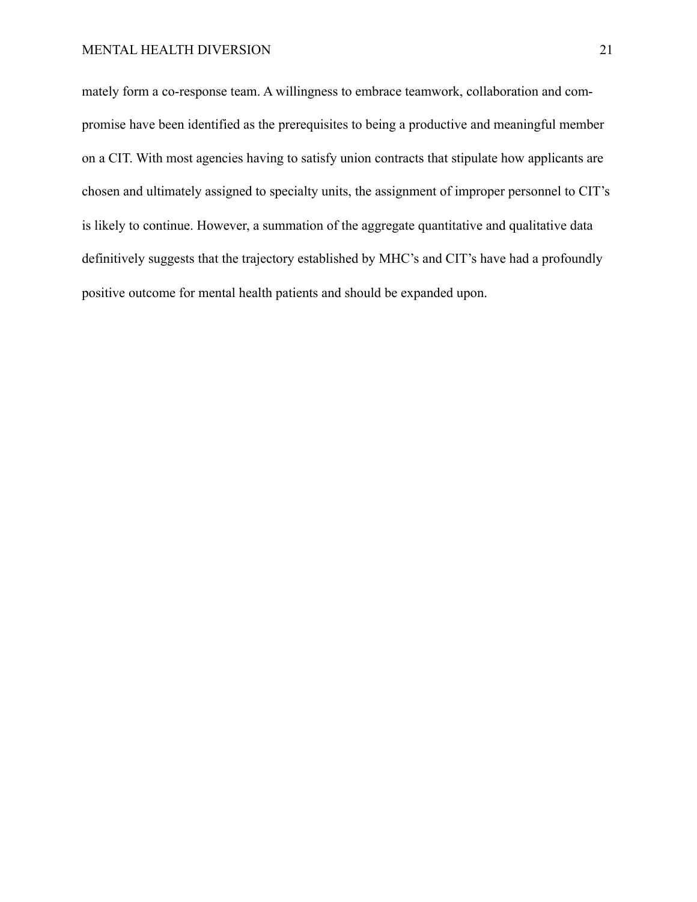mately form a co-response team. A willingness to embrace teamwork, collaboration and compromise have been identified as the prerequisites to being a productive and meaningful member on a CIT. With most agencies having to satisfy union contracts that stipulate how applicants are chosen and ultimately assigned to specialty units, the assignment of improper personnel to CIT's is likely to continue. However, a summation of the aggregate quantitative and qualitative data definitively suggests that the trajectory established by MHC's and CIT's have had a profoundly positive outcome for mental health patients and should be expanded upon.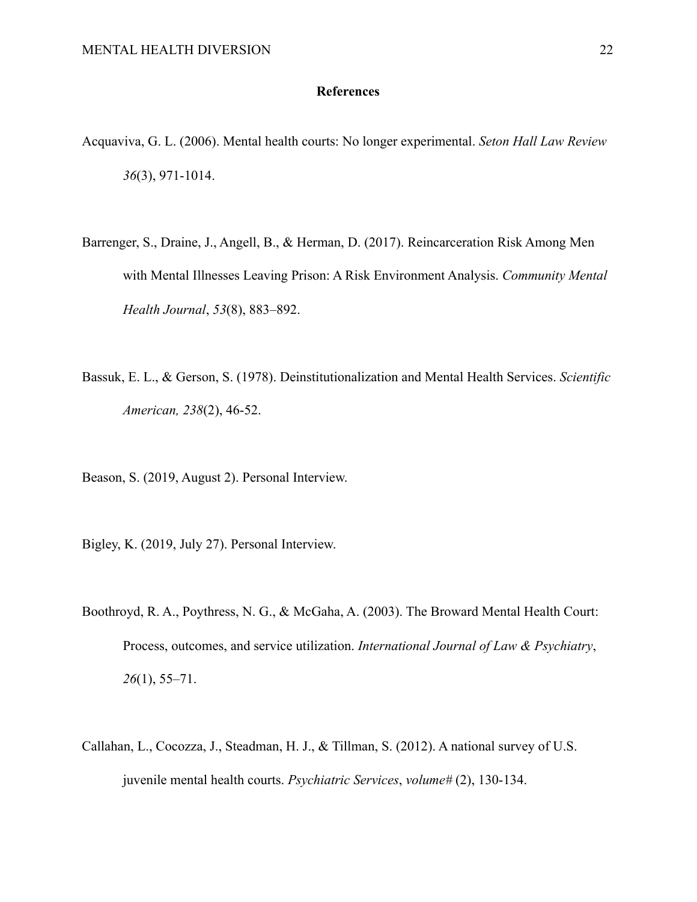# **References**

- Acquaviva, G. L. (2006). Mental health courts: No longer experimental. *Seton Hall Law Review 36*(3), 971-1014.
- Barrenger, S., Draine, J., Angell, B., & Herman, D. (2017). Reincarceration Risk Among Men with Mental Illnesses Leaving Prison: A Risk Environment Analysis. *Community Mental Health Journal*, *53*(8), 883–892.
- Bassuk, E. L., & Gerson, S. (1978). Deinstitutionalization and Mental Health Services. *Scientific American, 238*(2), 46-52.
- Beason, S. (2019, August 2). Personal Interview.
- Bigley, K. (2019, July 27). Personal Interview.
- Boothroyd, R. A., Poythress, N. G., & McGaha, A. (2003). The Broward Mental Health Court: Process, outcomes, and service utilization. *International Journal of Law & Psychiatry*, *26*(1), 55–71.
- Callahan, L., Cocozza, J., Steadman, H. J., & Tillman, S. (2012). A national survey of U.S. juvenile mental health courts. *Psychiatric Services*, *volume#* (2), 130-134.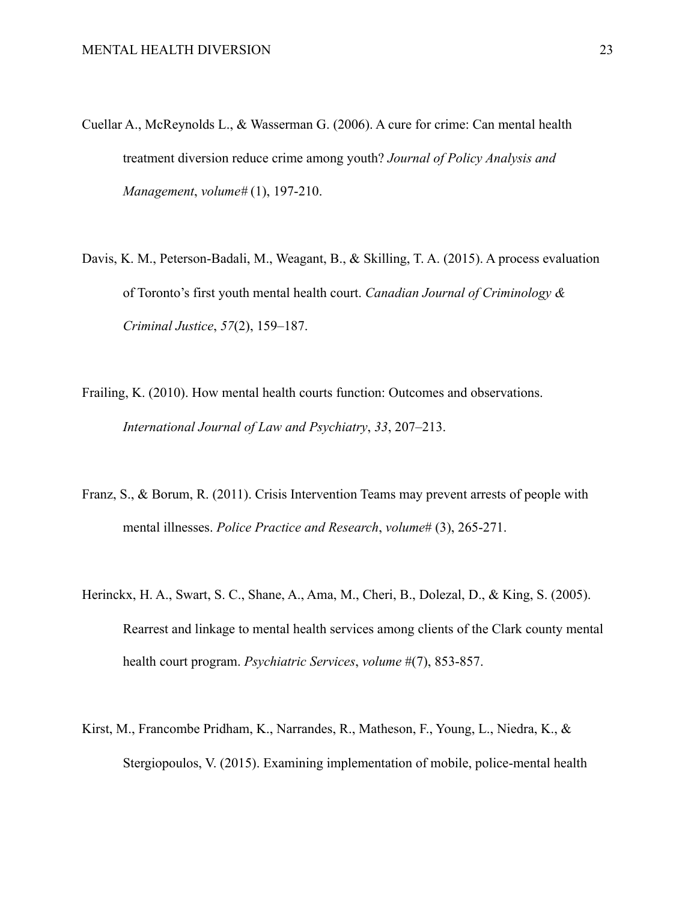- Cuellar A., McReynolds L., & Wasserman G. (2006). A cure for crime: Can mental health treatment diversion reduce crime among youth? *Journal of Policy Analysis and Management*, *volume#* (1), 197-210.
- Davis, K. M., Peterson-Badali, M., Weagant, B., & Skilling, T. A. (2015). A process evaluation of Toronto's first youth mental health court. *Canadian Journal of Criminology & Criminal Justice*, *57*(2), 159–187.
- Frailing, K. (2010). How mental health courts function: Outcomes and observations. *International Journal of Law and Psychiatry*, *33*, 207–213.
- Franz, S., & Borum, R. (2011). Crisis Intervention Teams may prevent arrests of people with mental illnesses. *Police Practice and Research*, *volume*# (3), 265-271.
- Herinckx, H. A., Swart, S. C., Shane, A., Ama, M., Cheri, B., Dolezal, D., & King, S. (2005). Rearrest and linkage to mental health services among clients of the Clark county mental health court program. *Psychiatric Services*, *volume* #(7), 853-857.
- Kirst, M., Francombe Pridham, K., Narrandes, R., Matheson, F., Young, L., Niedra, K., & Stergiopoulos, V. (2015). Examining implementation of mobile, police-mental health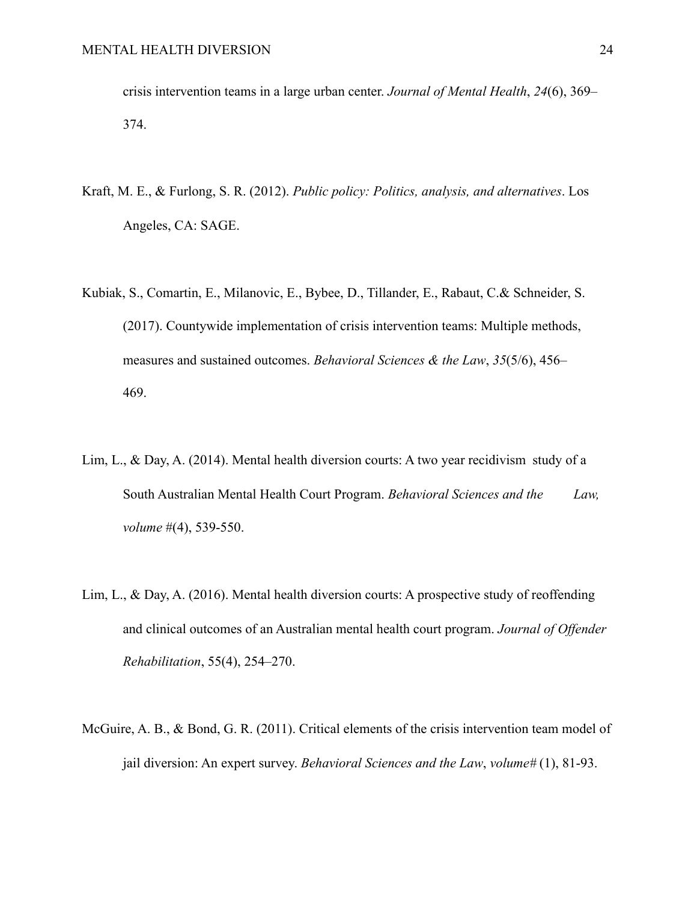crisis intervention teams in a large urban center. *Journal of Mental Health*, *24*(6), 369– 374.

- Kraft, M. E., & Furlong, S. R. (2012). *Public policy: Politics, analysis, and alternatives*. Los Angeles, CA: SAGE.
- Kubiak, S., Comartin, E., Milanovic, E., Bybee, D., Tillander, E., Rabaut, C.& Schneider, S. (2017). Countywide implementation of crisis intervention teams: Multiple methods, measures and sustained outcomes. *Behavioral Sciences & the Law*, *35*(5/6), 456– 469.
- Lim, L., & Day, A. (2014). Mental health diversion courts: A two year recidivism study of a South Australian Mental Health Court Program. *Behavioral Sciences and the Law, volume* #(4), 539-550.
- Lim, L., & Day, A. (2016). Mental health diversion courts: A prospective study of reoffending and clinical outcomes of an Australian mental health court program. *Journal of Offender Rehabilitation*, 55(4), 254–270.
- McGuire, A. B., & Bond, G. R. (2011). Critical elements of the crisis intervention team model of jail diversion: An expert survey. *Behavioral Sciences and the Law*, *volume#* (1), 81-93.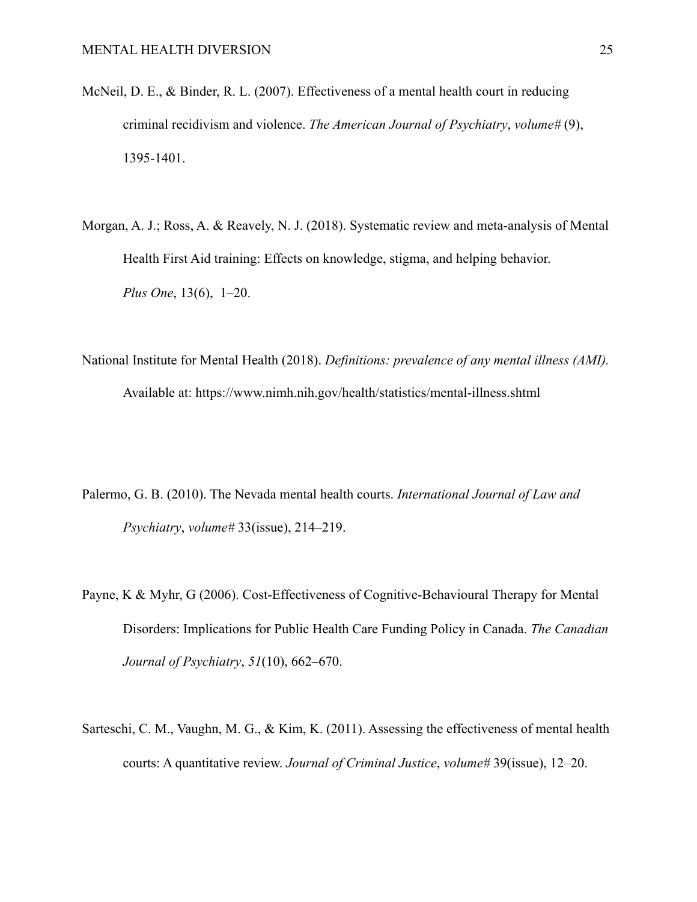- McNeil, D. E., & Binder, R. L. (2007). Effectiveness of a mental health court in reducing criminal recidivism and violence. *The American Journal of Psychiatry*, *volume#* (9), 1395-1401.
- Morgan, A. J.; Ross, A. & Reavely, N. J. (2018). Systematic review and meta-analysis of Mental Health First Aid training: Effects on knowledge, stigma, and helping behavior. *Plus One*, 13(6), 1–20.
- National Institute for Mental Health (2018). *Definitions: prevalence of any mental illness (AMI).* Available at: https://www.nimh.nih.gov/health/statistics/mental-illness.shtml
- Palermo, G. B. (2010). The Nevada mental health courts. *International Journal of Law and Psychiatry*, *volume#* 33(issue), 214–219.
- Payne, K & Myhr, G (2006). Cost-Effectiveness of Cognitive-Behavioural Therapy for Mental Disorders: Implications for Public Health Care Funding Policy in Canada. *The Canadian Journal of Psychiatry*, *51*(10), 662–670.
- Sarteschi, C. M., Vaughn, M. G., & Kim, K. (2011). Assessing the effectiveness of mental health courts: A quantitative review. *Journal of Criminal Justice*, *volume#* 39(issue), 12–20.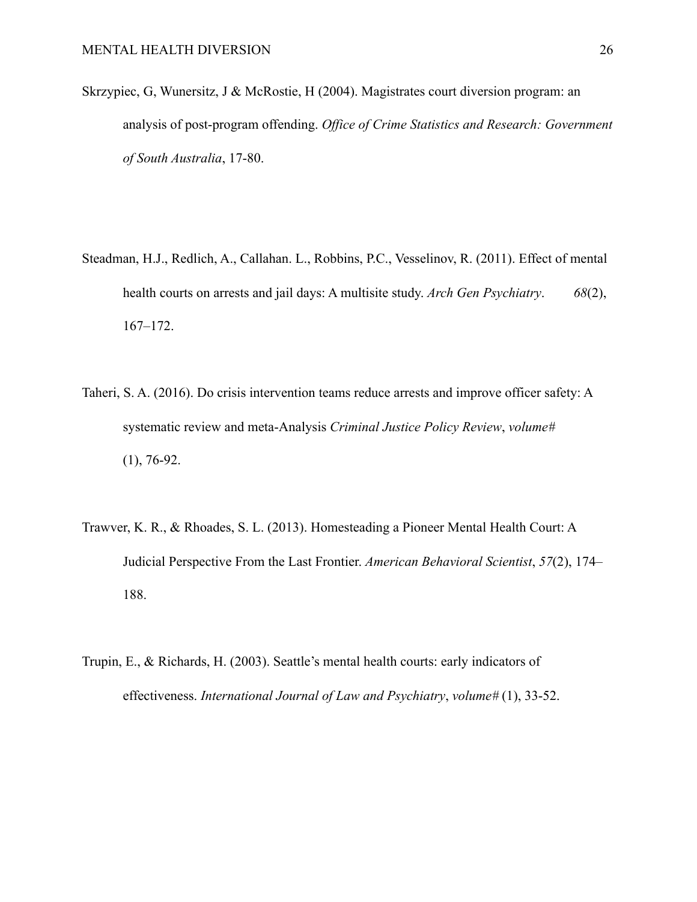- Skrzypiec, G, Wunersitz, J & McRostie, H (2004). Magistrates court diversion program: an analysis of post-program offending. *Office of Crime Statistics and Research: Government of South Australia*, 17-80.
- Steadman, H.J., Redlich, A., Callahan. L., Robbins, P.C., Vesselinov, R. (2011). Effect of mental health courts on arrests and jail days: A multisite study. *Arch Gen Psychiatry*. *68*(2), 167–172.
- Taheri, S. A. (2016). Do crisis intervention teams reduce arrests and improve officer safety: A systematic review and meta-Analysis *Criminal Justice Policy Review*, *volume#*  $(1), 76-92.$
- Trawver, K. R., & Rhoades, S. L. (2013). Homesteading a Pioneer Mental Health Court: A Judicial Perspective From the Last Frontier. *American Behavioral Scientist*, *57*(2), 174– 188.
- Trupin, E., & Richards, H. (2003). Seattle's mental health courts: early indicators of effectiveness. *International Journal of Law and Psychiatry*, *volume#* (1), 33-52.